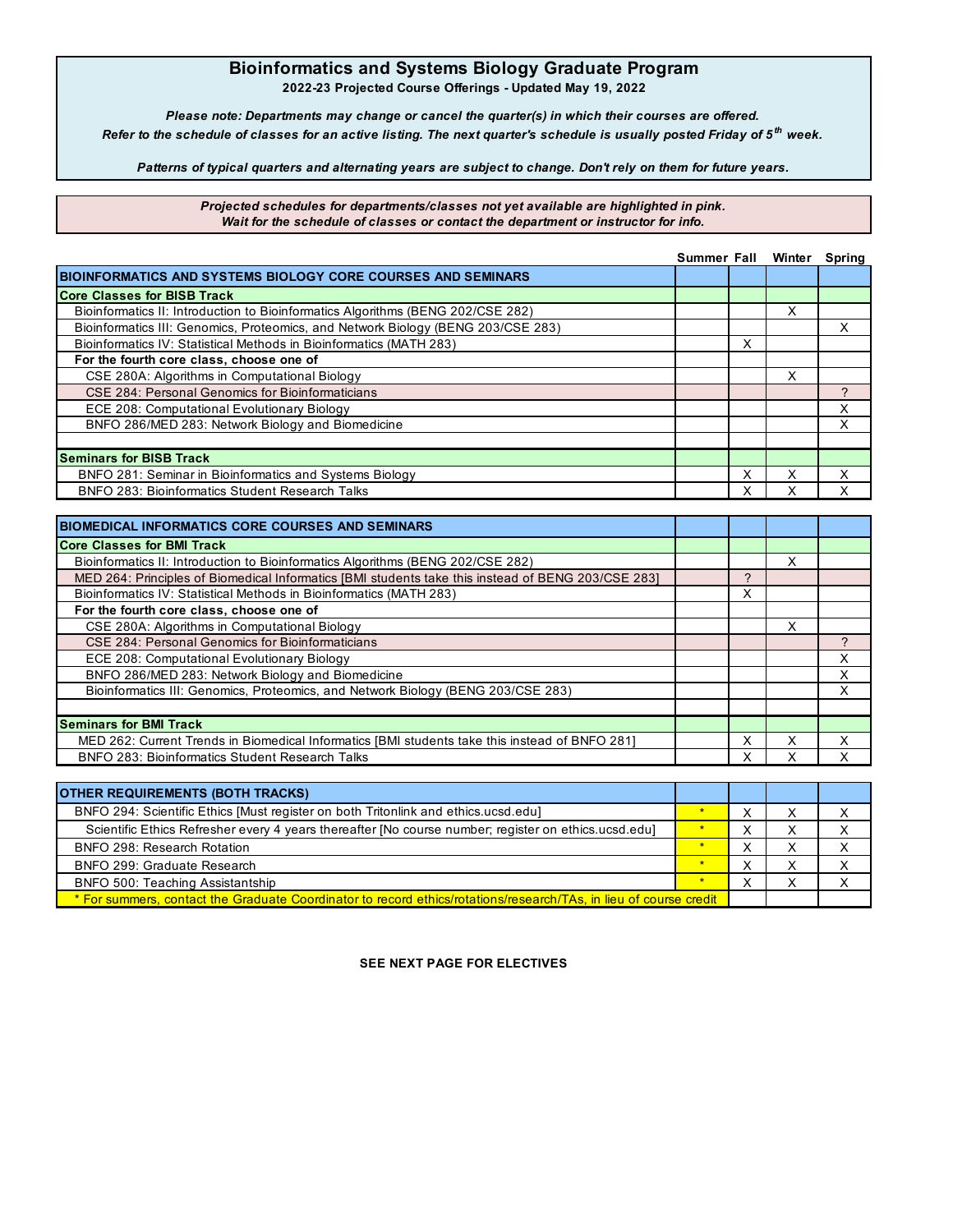## **Bioinformatics and Systems Biology Graduate Program**

**2022-23 Projected Course Offerings - Updated May 19, 2022**

*Please note: Departments may change or cancel the quarter(s) in which their courses are offered. Refer to the schedule of classes for an active listing. The next quarter's schedule is usually posted Friday of 5 th week.*

*Patterns of typical quarters and alternating years are subject to change. Don't rely on them for future years.*

*Projected schedules for departments/classes not yet available are highlighted in pink. Wait for the schedule of classes or contact the department or instructor for info.*

|                                                                                  | <b>Summer Fall</b> |   | Winter | Spring |
|----------------------------------------------------------------------------------|--------------------|---|--------|--------|
| <b>BIOINFORMATICS AND SYSTEMS BIOLOGY CORE COURSES AND SEMINARS</b>              |                    |   |        |        |
| <b>Core Classes for BISB Track</b>                                               |                    |   |        |        |
| Bioinformatics II: Introduction to Bioinformatics Algorithms (BENG 202/CSE 282)  |                    |   | x      |        |
| Bioinformatics III: Genomics, Proteomics, and Network Biology (BENG 203/CSE 283) |                    |   |        |        |
| Bioinformatics IV: Statistical Methods in Bioinformatics (MATH 283)              |                    | X |        |        |
| For the fourth core class, choose one of                                         |                    |   |        |        |
| CSE 280A: Algorithms in Computational Biology                                    |                    |   | x      |        |
| CSE 284: Personal Genomics for Bioinformaticians                                 |                    |   |        |        |
| ECE 208: Computational Evolutionary Biology                                      |                    |   |        |        |
| BNFO 286/MED 283: Network Biology and Biomedicine                                |                    |   |        |        |
|                                                                                  |                    |   |        |        |
| <b>Seminars for BISB Track</b>                                                   |                    |   |        |        |
| BNFO 281: Seminar in Bioinformatics and Systems Biology                          |                    |   |        |        |
| <b>BNFO 283: Bioinformatics Student Research Talks</b>                           |                    |   |        |        |

| <b>BIOMEDICAL INFORMATICS CORE COURSES AND SEMINARS</b>                                            |   |   |   |
|----------------------------------------------------------------------------------------------------|---|---|---|
| <b>Core Classes for BMI Track</b>                                                                  |   |   |   |
| Bioinformatics II: Introduction to Bioinformatics Algorithms (BENG 202/CSE 282)                    |   | х |   |
| MED 264: Principles of Biomedical Informatics [BMI students take this instead of BENG 203/CSE 283] |   |   |   |
| Bioinformatics IV: Statistical Methods in Bioinformatics (MATH 283)                                | x |   |   |
| For the fourth core class, choose one of                                                           |   |   |   |
| CSE 280A: Algorithms in Computational Biology                                                      |   | x |   |
| CSE 284: Personal Genomics for Bioinformaticians                                                   |   |   |   |
| ECE 208: Computational Evolutionary Biology                                                        |   |   | x |
| BNFO 286/MED 283: Network Biology and Biomedicine                                                  |   |   | x |
| Bioinformatics III: Genomics, Proteomics, and Network Biology (BENG 203/CSE 283)                   |   |   |   |
|                                                                                                    |   |   |   |
| <b>Seminars for BMI Track</b>                                                                      |   |   |   |
| MED 262: Current Trends in Biomedical Informatics [BMI students take this instead of BNFO 281]     | x | x | x |
| <b>BNFO 283: Bioinformatics Student Research Talks</b>                                             |   |   |   |
|                                                                                                    |   |   |   |

| <b>OTHER REQUIREMENTS (BOTH TRACKS)</b>                                                                           |  |  |  |  |
|-------------------------------------------------------------------------------------------------------------------|--|--|--|--|
| BNFO 294: Scientific Ethics [Must register on both Tritonlink and ethics.ucsd.edu]                                |  |  |  |  |
| Scientific Ethics Refresher every 4 years thereafter [No course number; register on ethics.ucsd.edu]              |  |  |  |  |
| BNFO 298: Research Rotation                                                                                       |  |  |  |  |
| BNFO 299: Graduate Research                                                                                       |  |  |  |  |
| BNFO 500: Teaching Assistantship                                                                                  |  |  |  |  |
| * For summers, contact the Graduate Coordinator to record ethics/rotations/research/TAs, in lieu of course credit |  |  |  |  |

**SEE NEXT PAGE FOR ELECTIVES**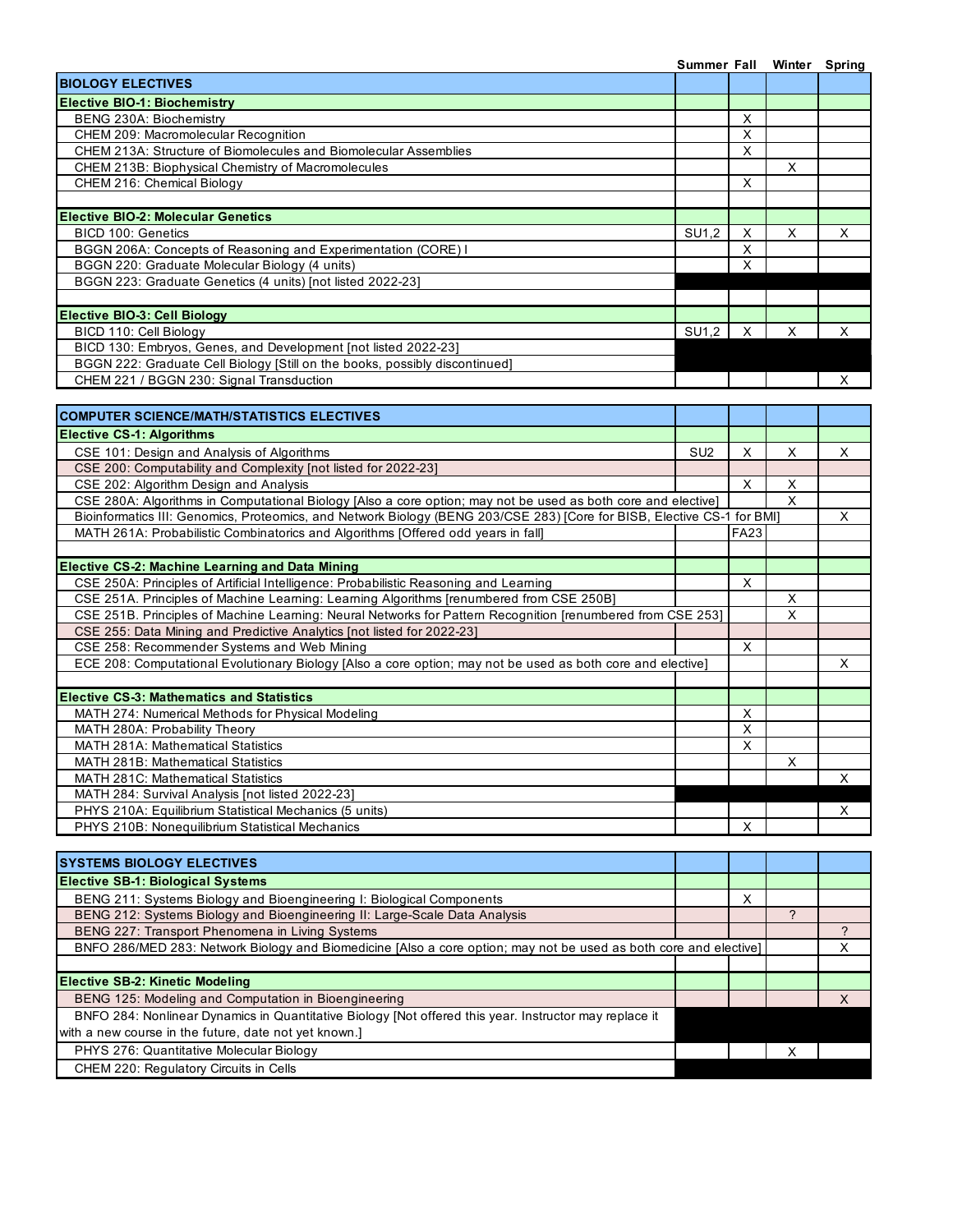|                                                                                                                         | Summer Fall     |                |                | Winter Spring  |
|-------------------------------------------------------------------------------------------------------------------------|-----------------|----------------|----------------|----------------|
| <b>BIOLOGY ELECTIVES</b>                                                                                                |                 |                |                |                |
| <b>Elective BIO-1: Biochemistry</b>                                                                                     |                 |                |                |                |
| BENG 230A: Biochemistry                                                                                                 |                 | X              |                |                |
| CHEM 209: Macromolecular Recognition                                                                                    |                 | X              |                |                |
| CHEM 213A: Structure of Biomolecules and Biomolecular Assemblies                                                        |                 | $\mathsf{X}$   |                |                |
| CHEM 213B: Biophysical Chemistry of Macromolecules                                                                      |                 |                | $\times$       |                |
| CHEM 216: Chemical Biology                                                                                              |                 | X              |                |                |
|                                                                                                                         |                 |                |                |                |
| <b>Elective BIO-2: Molecular Genetics</b>                                                                               |                 |                |                |                |
| <b>BICD 100: Genetics</b>                                                                                               | SU1,2           | X              | Χ              | X              |
| BGGN 206A: Concepts of Reasoning and Experimentation (CORE) I                                                           |                 | $\mathsf X$    |                |                |
| BGGN 220: Graduate Molecular Biology (4 units)                                                                          |                 | X              |                |                |
| BGGN 223: Graduate Genetics (4 units) [not listed 2022-23]                                                              |                 |                |                |                |
|                                                                                                                         |                 |                |                |                |
| <b>Elective BIO-3: Cell Biology</b>                                                                                     |                 |                |                |                |
| BICD 110: Cell Biology                                                                                                  | SU1,2           | $\times$       | X              | X              |
| BICD 130: Embryos, Genes, and Development [not listed 2022-23]                                                          |                 |                |                |                |
| BGGN 222: Graduate Cell Biology [Still on the books, possibly discontinued]                                             |                 |                |                |                |
| CHEM 221 / BGGN 230: Signal Transduction                                                                                |                 |                |                | X              |
|                                                                                                                         |                 |                |                |                |
| <b>COMPUTER SCIENCE/MATH/STATISTICS ELECTIVES</b>                                                                       |                 |                |                |                |
| <b>Elective CS-1: Algorithms</b>                                                                                        |                 |                |                |                |
| CSE 101: Design and Analysis of Algorithms                                                                              | SU <sub>2</sub> | X              | X              | X              |
| CSE 200: Computability and Complexity [not listed for 2022-23]                                                          |                 |                |                |                |
| CSE 202: Algorithm Design and Analysis                                                                                  |                 | X              | X              |                |
| CSE 280A: Algorithms in Computational Biology [Also a core option; may not be used as both core and elective]           |                 |                | X              |                |
| Bioinformatics III: Genomics, Proteomics, and Network Biology (BENG 203/CSE 283) [Core for BISB, Elective CS-1 for BMI] |                 |                |                | X              |
| MATH 261A: Probabilistic Combinatorics and Algorithms [Offered odd years in fall]                                       |                 | <b>FA23</b>    |                |                |
|                                                                                                                         |                 |                |                |                |
| <b>Elective CS-2: Machine Learning and Data Mining</b>                                                                  |                 |                |                |                |
| CSE 250A: Principles of Artificial Intelligence: Probabilistic Reasoning and Learning                                   |                 | X              |                |                |
| CSE 251A. Principles of Machine Learning: Learning Algorithms [renumbered from CSE 250B]                                |                 |                | X              |                |
| CSE 251B. Principles of Machine Learning: Neural Networks for Pattern Recognition [renumbered from CSE 253]             |                 |                | X              |                |
| CSE 255: Data Mining and Predictive Analytics [not listed for 2022-23]                                                  |                 |                |                |                |
| CSE 258: Recommender Systems and Web Mining                                                                             |                 | $\overline{X}$ |                |                |
| ECE 208: Computational Evolutionary Biology [Also a core option; may not be used as both core and elective]             |                 |                |                | X              |
|                                                                                                                         |                 |                |                |                |
| <b>Elective CS-3: Mathematics and Statistics</b>                                                                        |                 |                |                |                |
| MATH 274: Numerical Methods for Physical Modeling                                                                       |                 | Χ              |                |                |
| MATH 280A: Probability Theory                                                                                           |                 | X              |                |                |
| MATH 281A: Mathematical Statistics                                                                                      |                 | X              |                |                |
| MATH 281B: Mathematical Statistics                                                                                      |                 |                | х              |                |
| <b>MATH 281C: Mathematical Statistics</b>                                                                               |                 |                |                | X              |
| MATH 284: Survival Analysis [not listed 2022-23]                                                                        |                 |                |                |                |
| PHYS 210A: Equilibrium Statistical Mechanics (5 units)                                                                  |                 |                |                | X.             |
| PHYS 210B: Nonequilibrium Statistical Mechanics                                                                         |                 | Х              |                |                |
|                                                                                                                         |                 |                |                |                |
| <b>SYSTEMS BIOLOGY ELECTIVES</b>                                                                                        |                 |                |                |                |
| <b>Elective SB-1: Biological Systems</b>                                                                                |                 |                |                |                |
| BENG 211: Systems Biology and Bioengineering I: Biological Components                                                   |                 | X              |                |                |
| BENG 212: Systems Biology and Bioengineering II: Large-Scale Data Analysis                                              |                 |                | $\overline{?}$ |                |
| BENG 227: Transport Phenomena in Living Systems                                                                         |                 |                |                | $\overline{?}$ |
| BNFO 286/MED 283: Network Biology and Biomedicine [Also a core option; may not be used as both core and elective]       |                 |                |                | X              |
|                                                                                                                         |                 |                |                |                |
|                                                                                                                         |                 |                |                |                |
| <b>Elective SB-2: Kinetic Modeling</b>                                                                                  |                 |                |                |                |
| BENG 125: Modeling and Computation in Bioengineering                                                                    |                 |                |                | $\mathsf{X}$   |
| BNFO 284: Nonlinear Dynamics in Quantitative Biology [Not offered this year. Instructor may replace it                  |                 |                |                |                |
| with a new course in the future, date not yet known.]                                                                   |                 |                |                |                |
| PHYS 276: Quantitative Molecular Biology                                                                                |                 |                | X              |                |
| CHEM 220: Regulatory Circuits in Cells                                                                                  |                 |                |                |                |